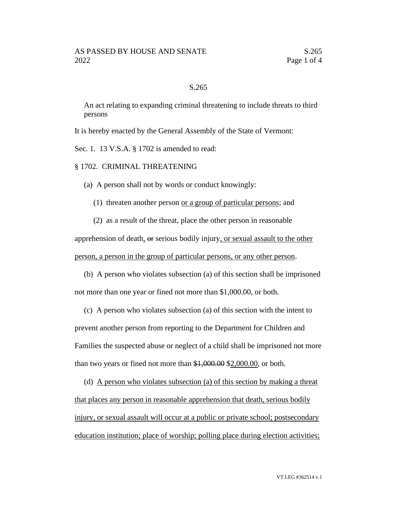## S.265

An act relating to expanding criminal threatening to include threats to third persons

It is hereby enacted by the General Assembly of the State of Vermont:

Sec. 1. 13 V.S.A. § 1702 is amended to read:

§ 1702. CRIMINAL THREATENING

(a) A person shall not by words or conduct knowingly:

(1) threaten another person or a group of particular persons; and

(2) as a result of the threat, place the other person in reasonable

apprehension of death, or serious bodily injury, or sexual assault to the other person, a person in the group of particular persons, or any other person.

(b) A person who violates subsection (a) of this section shall be imprisoned not more than one year or fined not more than \$1,000.00, or both.

(c) A person who violates subsection (a) of this section with the intent to prevent another person from reporting to the Department for Children and Families the suspected abuse or neglect of a child shall be imprisoned not more than two years or fined not more than \$1,000.00 \$2,000.00, or both.

(d) A person who violates subsection (a) of this section by making a threat that places any person in reasonable apprehension that death, serious bodily injury, or sexual assault will occur at a public or private school; postsecondary education institution; place of worship; polling place during election activities;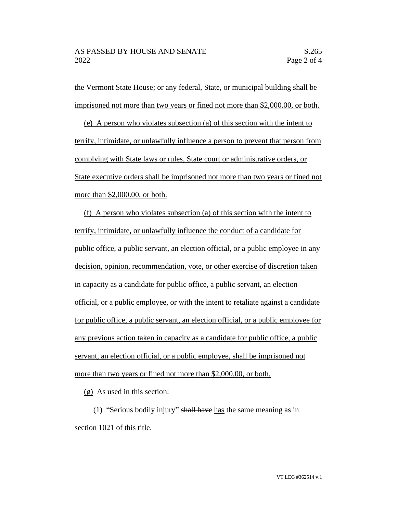the Vermont State House; or any federal, State, or municipal building shall be imprisoned not more than two years or fined not more than \$2,000.00, or both.

(e) A person who violates subsection (a) of this section with the intent to terrify, intimidate, or unlawfully influence a person to prevent that person from complying with State laws or rules, State court or administrative orders, or State executive orders shall be imprisoned not more than two years or fined not more than \$2,000.00, or both.

(f) A person who violates subsection (a) of this section with the intent to terrify, intimidate, or unlawfully influence the conduct of a candidate for public office, a public servant, an election official, or a public employee in any decision, opinion, recommendation, vote, or other exercise of discretion taken in capacity as a candidate for public office, a public servant, an election official, or a public employee, or with the intent to retaliate against a candidate for public office, a public servant, an election official, or a public employee for any previous action taken in capacity as a candidate for public office, a public servant, an election official, or a public employee, shall be imprisoned not more than two years or fined not more than \$2,000.00, or both.

(g) As used in this section:

(1) "Serious bodily injury" shall have has the same meaning as in section 1021 of this title.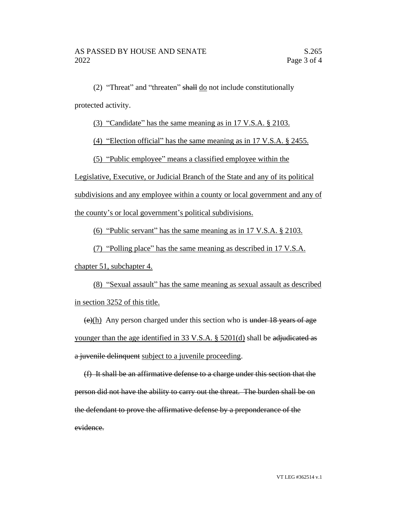(2) "Threat" and "threaten" shall do not include constitutionally protected activity.

(3) "Candidate" has the same meaning as in 17 V.S.A. § 2103.

(4) "Election official" has the same meaning as in 17 V.S.A. § 2455.

(5) "Public employee" means a classified employee within the

Legislative, Executive, or Judicial Branch of the State and any of its political

subdivisions and any employee within a county or local government and any of

the county's or local government's political subdivisions.

(6) "Public servant" has the same meaning as in 17 V.S.A. § 2103.

(7) "Polling place" has the same meaning as described in 17 V.S.A.

chapter 51, subchapter 4.

(8) "Sexual assault" has the same meaning as sexual assault as described in section 3252 of this title.

 $\frac{\left(\frac{e}{h}\right)}{h}$  Any person charged under this section who is under 18 years of age younger than the age identified in 33 V.S.A. § 5201(d) shall be adjudicated as a juvenile delinquent subject to a juvenile proceeding.

(f) It shall be an affirmative defense to a charge under this section that the person did not have the ability to carry out the threat. The burden shall be on the defendant to prove the affirmative defense by a preponderance of the evidence.